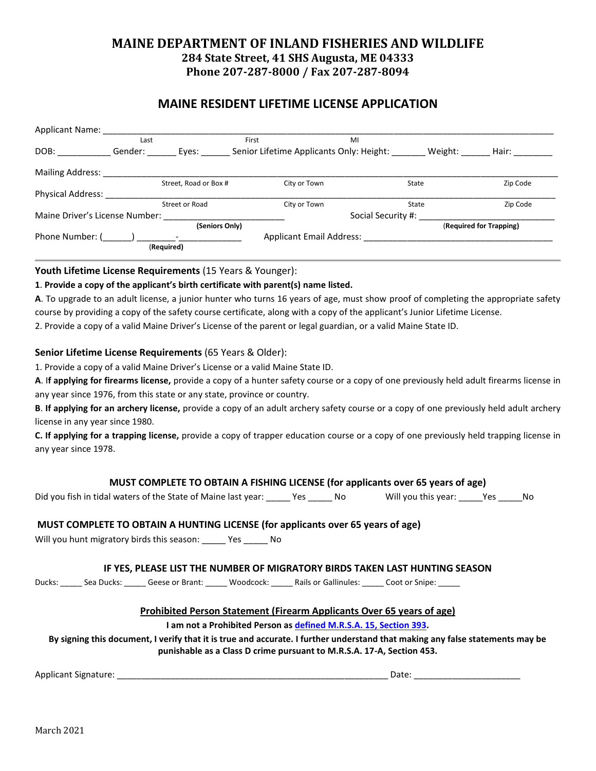## **MAINE DEPARTMENT OF INLAND FISHERIES AND WILDLIFE 284 State Street, 41 SHS Augusta, ME 04333 Phone 207-287-8000 / Fax 207-287-8094**

## **MAINE RESIDENT LIFETIME LICENSE APPLICATION**

| <b>Applicant Name:</b>         |                |                       |                                          |                         |          |  |
|--------------------------------|----------------|-----------------------|------------------------------------------|-------------------------|----------|--|
|                                | Last           |                       | First                                    | MI                      |          |  |
| DOB:                           | Gender:        | Eyes:                 | Senior Lifetime Applicants Only: Height: | Weight:                 | Hair:    |  |
| <b>Mailing Address:</b>        |                |                       |                                          |                         |          |  |
|                                |                | Street, Road or Box # | City or Town                             | State                   | Zip Code |  |
| <b>Physical Address:</b>       |                |                       |                                          |                         |          |  |
|                                |                | Street or Road        | City or Town                             | State                   | Zip Code |  |
| Maine Driver's License Number: |                |                       |                                          | Social Security #:      |          |  |
|                                | (Seniors Only) |                       |                                          | (Required for Trapping) |          |  |
| Phone Number: (                |                |                       | <b>Applicant Email Address:</b>          |                         |          |  |
|                                |                | (Required)            |                                          |                         |          |  |

#### **Youth Lifetime License Requirements** (15 Years & Younger):

#### **1**. **Provide a copy of the applicant's birth certificate with parent(s) name listed.**

**A**. To upgrade to an adult license, a junior hunter who turns 16 years of age, must show proof of completing the appropriate safety course by providing a copy of the safety course certificate, along with a copy of the applicant's Junior Lifetime License.

2. Provide a copy of a valid Maine Driver's License of the parent or legal guardian, or a valid Maine State ID.

#### **Senior Lifetime License Requirements** (65 Years & Older):

1. Provide a copy of a valid Maine Driver's License or a valid Maine State ID.

**A**. I**f applying for firearms license,** provide a copy of a hunter safety course or a copy of one previously held adult firearms license in any year since 1976, from this state or any state, province or country.

**B**. **If applying for an archery license,** provide a copy of an adult archery safety course or a copy of one previously held adult archery license in any year since 1980.

**C. If applying for a trapping license,** provide a copy of trapper education course or a copy of one previously held trapping license in any year since 1978.

#### **MUST COMPLETE TO OBTAIN A FISHING LICENSE (for applicants over 65 years of age)**

Did you fish in tidal waters of the State of Maine last year: \_\_\_\_\_ Yes \_\_\_\_\_ No Will you this year: \_\_\_\_\_ Yes \_\_\_\_\_No

### **MUST COMPLETE TO OBTAIN A HUNTING LICENSE (for applicants over 65 years of age)**

Will you hunt migratory birds this season: \_\_\_\_\_ Yes \_\_\_\_\_ No

#### **IF YES, PLEASE LIST THE NUMBER OF MIGRATORY BIRDS TAKEN LAST HUNTING SEASON**

Ducks: Sea Ducks: Geese or Brant: Woodcock: Rails or Gallinules: Coot or Snipe:

#### **Prohibited Person Statement (Firearm Applicants Over 65 years of age)**

#### **I am not a Prohibited Person as [defined M.R.S.A. 15, Section 393.](https://mainelegislature.org/legis/statutes/15/title15sec393.html)**

**By signing this document, I verify that it is true and accurate. I further understand that making any false statements may be punishable as a Class D crime pursuant to M.R.S.A. 17-A, Section 453.**

Applicant Signature: \_\_\_\_\_\_\_\_\_\_\_\_\_\_\_\_\_\_\_\_\_\_\_\_\_\_\_\_\_\_\_\_\_\_\_\_\_\_\_\_\_\_\_\_\_\_\_\_\_\_\_\_\_\_\_\_ Date: \_\_\_\_\_\_\_\_\_\_\_\_\_\_\_\_\_\_\_\_\_\_